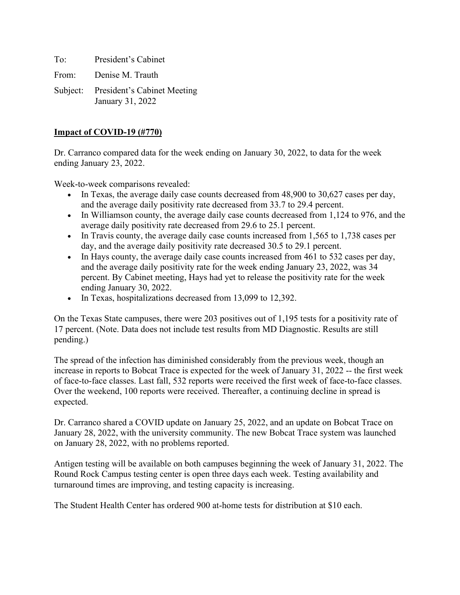To: President's Cabinet From: Denise M. Trauth

Subject: President's Cabinet Meeting January 31, 2022

## **Impact of COVID-19 (#770)**

Dr. Carranco compared data for the week ending on January 30, 2022, to data for the week ending January 23, 2022.

Week-to-week comparisons revealed:

- In Texas, the average daily case counts decreased from 48,900 to 30,627 cases per day, and the average daily positivity rate decreased from 33.7 to 29.4 percent.
- In Williamson county, the average daily case counts decreased from 1,124 to 976, and the average daily positivity rate decreased from 29.6 to 25.1 percent.
- In Travis county, the average daily case counts increased from 1,565 to 1,738 cases per day, and the average daily positivity rate decreased 30.5 to 29.1 percent.
- In Hays county, the average daily case counts increased from 461 to 532 cases per day, and the average daily positivity rate for the week ending January 23, 2022, was 34 percent. By Cabinet meeting, Hays had yet to release the positivity rate for the week ending January 30, 2022.
- In Texas, hospitalizations decreased from 13,099 to 12,392.

On the Texas State campuses, there were 203 positives out of 1,195 tests for a positivity rate of 17 percent. (Note. Data does not include test results from MD Diagnostic. Results are still pending.)

The spread of the infection has diminished considerably from the previous week, though an increase in reports to Bobcat Trace is expected for the week of January 31, 2022 -- the first week of face-to-face classes. Last fall, 532 reports were received the first week of face-to-face classes. Over the weekend, 100 reports were received. Thereafter, a continuing decline in spread is expected.

Dr. Carranco shared a COVID update on January 25, 2022, and an update on Bobcat Trace on January 28, 2022, with the university community. The new Bobcat Trace system was launched on January 28, 2022, with no problems reported.

Antigen testing will be available on both campuses beginning the week of January 31, 2022. The Round Rock Campus testing center is open three days each week. Testing availability and turnaround times are improving, and testing capacity is increasing.

The Student Health Center has ordered 900 at-home tests for distribution at \$10 each.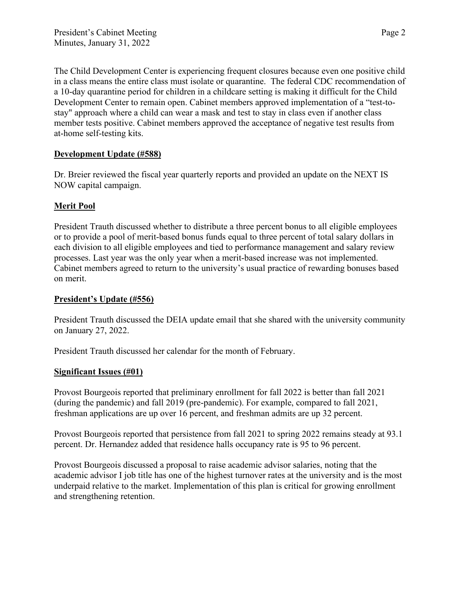The Child Development Center is experiencing frequent closures because even one positive child in a class means the entire class must isolate or quarantine. The federal CDC recommendation of a 10-day quarantine period for children in a childcare setting is making it difficult for the Child Development Center to remain open. Cabinet members approved implementation of a "test-tostay" approach where a child can wear a mask and test to stay in class even if another class member tests positive. Cabinet members approved the acceptance of negative test results from at-home self-testing kits.

## **Development Update (#588)**

Dr. Breier reviewed the fiscal year quarterly reports and provided an update on the NEXT IS NOW capital campaign.

# **Merit Pool**

President Trauth discussed whether to distribute a three percent bonus to all eligible employees or to provide a pool of merit-based bonus funds equal to three percent of total salary dollars in each division to all eligible employees and tied to performance management and salary review processes. Last year was the only year when a merit-based increase was not implemented. Cabinet members agreed to return to the university's usual practice of rewarding bonuses based on merit.

## **President's Update (#556)**

President Trauth discussed the DEIA update email that she shared with the university community on January 27, 2022.

President Trauth discussed her calendar for the month of February.

## **Significant Issues (#01)**

Provost Bourgeois reported that preliminary enrollment for fall 2022 is better than fall 2021 (during the pandemic) and fall 2019 (pre-pandemic). For example, compared to fall 2021, freshman applications are up over 16 percent, and freshman admits are up 32 percent.

Provost Bourgeois reported that persistence from fall 2021 to spring 2022 remains steady at 93.1 percent. Dr. Hernandez added that residence halls occupancy rate is 95 to 96 percent.

Provost Bourgeois discussed a proposal to raise academic advisor salaries, noting that the academic advisor I job title has one of the highest turnover rates at the university and is the most underpaid relative to the market. Implementation of this plan is critical for growing enrollment and strengthening retention.